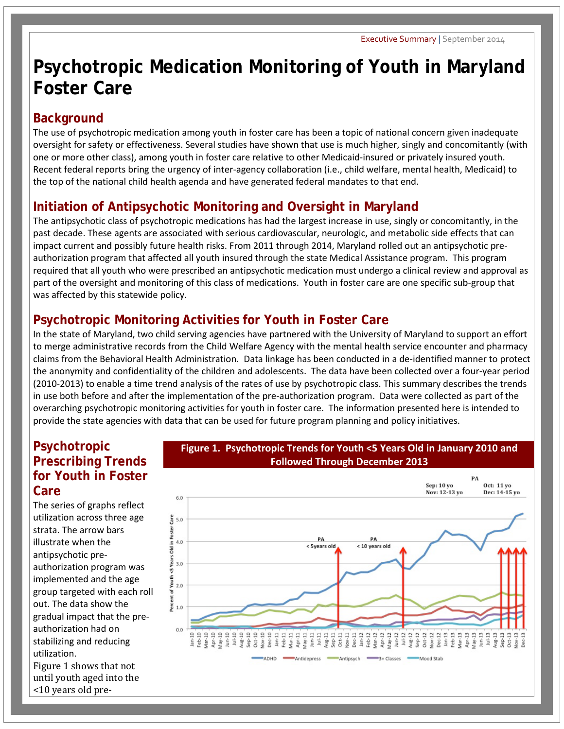# **Psychotropic Medication Monitoring of Youth in Maryland Foster Care**

### **Background**

The use of psychotropic medication among youth in foster care has been a topic of national concern given inadequate oversight for safety or effectiveness. Several studies have shown that use is much higher, singly and concomitantly (with one or more other class), among youth in foster care relative to other Medicaid-insured or privately insured youth. Recent federal reports bring the urgency of inter-agency collaboration (i.e., child welfare, mental health, Medicaid) to the top of the national child health agenda and have generated federal mandates to that end.

# **Initiation of Antipsychotic Monitoring and Oversight in Maryland**

The antipsychotic class of psychotropic medications has had the largest increase in use, singly or concomitantly, in the past decade. These agents are associated with serious cardiovascular, neurologic, and metabolic side effects that can impact current and possibly future health risks. From 2011 through 2014, Maryland rolled out an antipsychotic preauthorization program that affected all youth insured through the state Medical Assistance program. This program required that all youth who were prescribed an antipsychotic medication must undergo a clinical review and approval as part of the oversight and monitoring of this class of medications. Youth in foster care are one specific sub-group that was affected by this statewide policy.

# **Psychotropic Monitoring Activities for Youth in Foster Care**

In the state of Maryland, two child serving agencies have partnered with the University of Maryland to support an effort to merge administrative records from the Child Welfare Agency with the mental health service encounter and pharmacy claims from the Behavioral Health Administration. Data linkage has been conducted in a de-identified manner to protect the anonymity and confidentiality of the children and adolescents. The data have been collected over a four-year period (2010-2013) to enable a time trend analysis of the rates of use by psychotropic class. This summary describes the trends in use both before and after the implementation of the pre-authorization program. Data were collected as part of the overarching psychotropic monitoring activities for youth in foster care. The information presented here is intended to provide the state agencies with data that can be used for future program planning and policy initiatives.

#### **Psychotropic Prescribing Trends for Youth in Foster Care**

The series of graphs reflect utilization across three age strata. The arrow bars illustrate when the antipsychotic preauthorization program was implemented and the age group targeted with each roll out. The data show the gradual impact that the preauthorization had on stabilizing and reducing utilization.

Figure 1 shows that not until youth aged into the <10 years old pre-